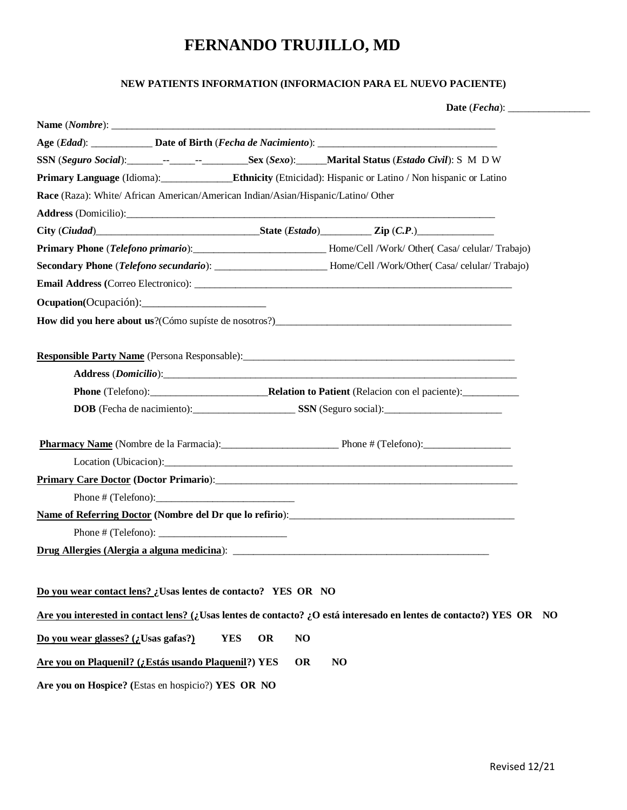#### **NEW PATIENTS INFORMATION (INFORMACION PARA EL NUEVO PACIENTE)**

**Date** (*Fecha*): \_\_\_\_\_\_\_\_\_\_\_\_\_\_\_\_

|                                                                                   |                        |                               | Primary Language (Idioma): Ethnicity (Ethicidad): Hispanic or Latino / Non hispanic or Latino                       |
|-----------------------------------------------------------------------------------|------------------------|-------------------------------|---------------------------------------------------------------------------------------------------------------------|
| Race (Raza): White/ African American/American Indian/Asian/Hispanic/Latino/ Other |                        |                               |                                                                                                                     |
|                                                                                   |                        |                               |                                                                                                                     |
|                                                                                   |                        |                               |                                                                                                                     |
|                                                                                   |                        |                               | Primary Phone (Telefono primario): _______________________________Home/Cell /Work/ Other( Casa/ celular/ Trabajo)   |
|                                                                                   |                        |                               | Secondary Phone (Telefono secundario): __________________________Home/Cell /Work/Other( Casa/ celular/ Trabajo)     |
|                                                                                   |                        |                               |                                                                                                                     |
|                                                                                   |                        |                               |                                                                                                                     |
|                                                                                   |                        |                               |                                                                                                                     |
|                                                                                   |                        |                               |                                                                                                                     |
|                                                                                   |                        |                               |                                                                                                                     |
|                                                                                   |                        |                               |                                                                                                                     |
|                                                                                   |                        |                               |                                                                                                                     |
|                                                                                   |                        |                               |                                                                                                                     |
|                                                                                   |                        |                               |                                                                                                                     |
|                                                                                   |                        |                               |                                                                                                                     |
|                                                                                   |                        |                               |                                                                                                                     |
|                                                                                   |                        |                               |                                                                                                                     |
|                                                                                   | Phone $\#$ (Telefono): |                               |                                                                                                                     |
|                                                                                   |                        |                               |                                                                                                                     |
|                                                                                   |                        |                               |                                                                                                                     |
|                                                                                   |                        |                               |                                                                                                                     |
|                                                                                   |                        |                               |                                                                                                                     |
|                                                                                   |                        |                               |                                                                                                                     |
| Do you wear contact lens? ¿Usas lentes de contacto? YES OR NO                     |                        |                               |                                                                                                                     |
|                                                                                   |                        |                               | Are you interested in contact lens? (¿Usas lentes de contacto? ¿O está interesado en lentes de contacto?) YES OR NO |
| Do you wear glasses? (¿Usas gafas?)                                               |                        | <b>YES</b><br><b>OR</b><br>NO |                                                                                                                     |
|                                                                                   |                        |                               |                                                                                                                     |
| Are you on Plaquenil? (¿Estás usando Plaquenil?) YES                              |                        | <b>OR</b>                     | NO                                                                                                                  |
| Are you on Hospice? (Estas en hospicio?) YES OR NO                                |                        |                               |                                                                                                                     |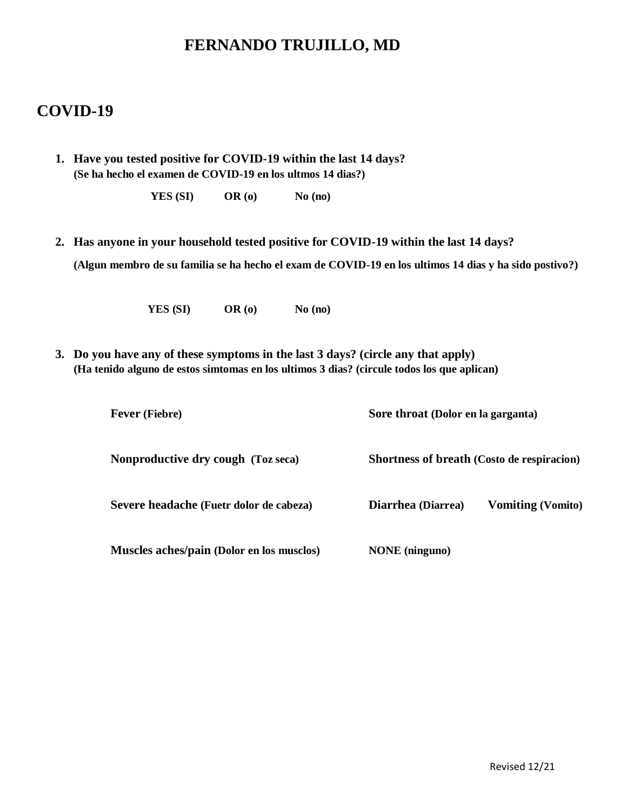### **COVID-19**

**1. Have you tested positive for COVID-19 within the last 14 days? (Se ha hecho el examen de COVID-19 en los ultmos 14 dias?)**

| YES (SI)<br>OR(0) | No (no) |
|-------------------|---------|
|-------------------|---------|

**2. Has anyone in your household tested positive for COVID-19 within the last 14 days? (Algun membro de su familia se ha hecho el exam de COVID-19 en los ultimos 14 dias y ha sido postivo?)**

**YES (SI) OR (o) No (no)**

**3. Do you have any of these symptoms in the last 3 days? (circle any that apply) (Ha tenido alguno de estos simtomas en los ultimos 3 dias? (circule todos los que aplican)**

| <b>Fever</b> (Fiebre)                     | Sore throat (Dolor en la garganta) |                                                   |
|-------------------------------------------|------------------------------------|---------------------------------------------------|
| Nonproductive dry cough (Toz seca)        |                                    | <b>Shortness of breath (Costo de respiracion)</b> |
| Severe headache (Fuetr dolor de cabeza)   | Diarrhea (Diarrea)                 | <b>Vomiting (Vomito)</b>                          |
| Muscles aches/pain (Dolor en los musclos) | <b>NONE</b> (ninguno)              |                                                   |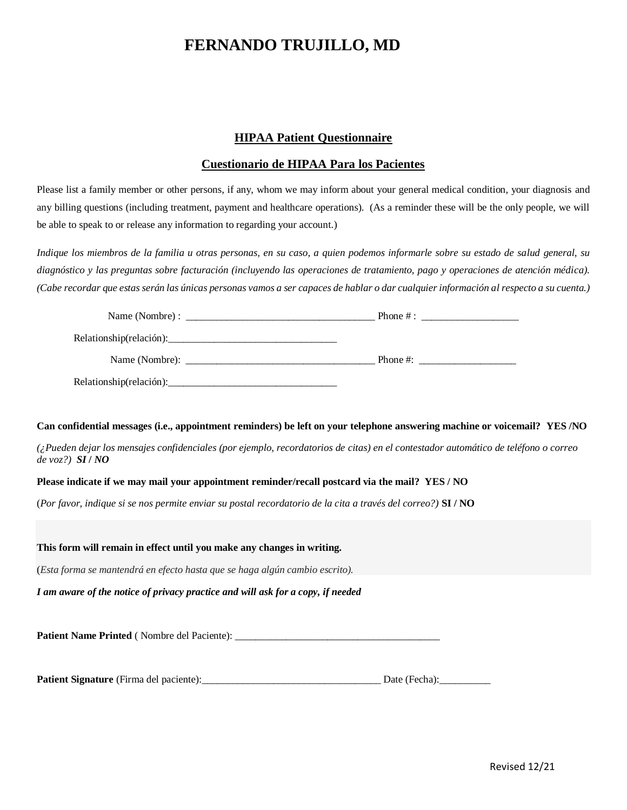#### **HIPAA Patient Questionnaire**

#### **Cuestionario de HIPAA Para los Pacientes**

Please list a family member or other persons, if any, whom we may inform about your general medical condition, your diagnosis and any billing questions (including treatment, payment and healthcare operations). (As a reminder these will be the only people, we will be able to speak to or release any information to regarding your account.)

*Indique los miembros de la familia u otras personas, en su caso, a quien podemos informarle sobre su estado de salud general, su diagnóstico y las preguntas sobre facturación (incluyendo las operaciones de tratamiento, pago y operaciones de atención médica). (Cabe recordar que estas serán las únicas personas vamos a ser capaces de hablar o dar cualquier información al respecto a su cuenta.)*

|                                                                                                | Phone $\#$ : |
|------------------------------------------------------------------------------------------------|--------------|
| Relationship(relación):<br><u> 1980 - Jan Samuel Barbara, martin da shekara 1980 - An an A</u> |              |

#### **Can confidential messages (i.e., appointment reminders) be left on your telephone answering machine or voicemail? YES /NO**

*(¿Pueden dejar los mensajes confidenciales (por ejemplo, recordatorios de citas) en el contestador automático de teléfono o correo de voz?)**SI* **/** *NO*

#### **Please indicate if we may mail your appointment reminder/recall postcard via the mail? YES / NO**

(*Por favor, indique si se nos permite enviar su postal recordatorio de la cita a través del correo?)* **SI / NO**

#### **This form will remain in effect until you make any changes in writing.**

(*Esta forma se mantendrá en efecto hasta que se haga algún cambio escrito).*

*I am aware of the notice of privacy practice and will ask for a copy, if needed*

**Patient Name Printed** ( Nombre del Paciente): \_\_\_\_\_\_\_\_\_\_\_\_\_\_\_\_\_\_\_\_\_\_\_\_\_\_\_\_\_\_\_\_\_\_\_\_\_\_\_\_

**Patient Signature** (Firma del paciente):\_\_\_\_\_\_\_\_\_\_\_\_\_\_\_\_\_\_\_\_\_\_\_\_\_\_\_\_\_\_\_\_\_\_\_ Date (Fecha):\_\_\_\_\_\_\_\_\_\_

| Date (Fecha): |  |
|---------------|--|
|               |  |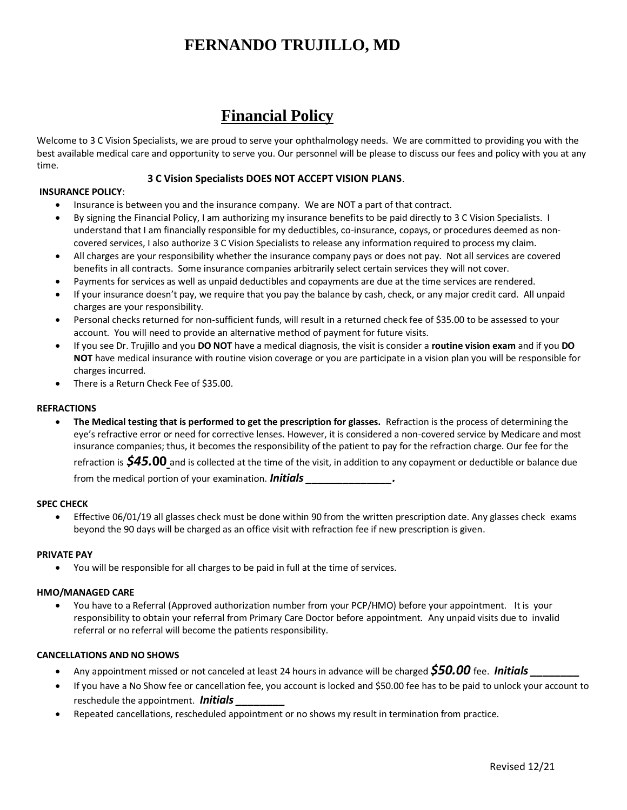## **Financial Policy**

Welcome to 3 C Vision Specialists, we are proud to serve your ophthalmology needs. We are committed to providing you with the best available medical care and opportunity to serve you. Our personnel will be please to discuss our fees and policy with you at any time.

#### **3 C Vision Specialists DOES NOT ACCEPT VISION PLANS**.

#### **INSURANCE POLICY**:

- Insurance is between you and the insurance company. We are NOT a part of that contract.
- By signing the Financial Policy, I am authorizing my insurance benefits to be paid directly to 3 C Vision Specialists. I understand that I am financially responsible for my deductibles, co-insurance, copays, or procedures deemed as noncovered services, I also authorize 3 C Vision Specialists to release any information required to process my claim.
- All charges are your responsibility whether the insurance company pays or does not pay. Not all services are covered benefits in all contracts. Some insurance companies arbitrarily select certain services they will not cover.
- Payments for services as well as unpaid deductibles and copayments are due at the time services are rendered.
- If your insurance doesn't pay, we require that you pay the balance by cash, check, or any major credit card. All unpaid charges are your responsibility.
- Personal checks returned for non-sufficient funds, will result in a returned check fee of \$35.00 to be assessed to your account. You will need to provide an alternative method of payment for future visits.
- If you see Dr. Trujillo and you **DO NOT** have a medical diagnosis, the visit is consider a **routine vision exam** and if you **DO NOT** have medical insurance with routine vision coverage or you are participate in a vision plan you will be responsible for charges incurred.
- There is a Return Check Fee of \$35.00.

#### **REFRACTIONS**

 **The Medical testing that is performed to get the prescription for glasses.** Refraction is the process of determining the eye's refractive error or need for corrective lenses. However, it is considered a non-covered service by Medicare and most insurance companies; thus, it becomes the responsibility of the patient to pay for the refraction charge. Our fee for the

refraction is *\$45.***00** and is collected at the time of the visit, in addition to any copayment or deductible or balance due from the medical portion of your examination. **Initials** 

#### **SPEC CHECK**

 Effective 06/01/19 all glasses check must be done within 90 from the written prescription date. Any glasses check exams beyond the 90 days will be charged as an office visit with refraction fee if new prescription is given.

#### **PRIVATE PAY**

You will be responsible for all charges to be paid in full at the time of services.

#### **HMO/MANAGED CARE**

 You have to a Referral (Approved authorization number from your PCP/HMO) before your appointment. It is your responsibility to obtain your referral from Primary Care Doctor before appointment. Any unpaid visits due to invalid referral or no referral will become the patients responsibility.

#### **CANCELLATIONS AND NO SHOWS**

- Any appointment missed or not canceled at least 24 hours in advance will be charged **\$50.00** fee. **Initials**
- If you have a No Show fee or cancellation fee, you account is locked and \$50.00 fee has to be paid to unlock your account to reschedule the appointment. *Initials \_\_\_\_\_\_\_\_*
- Repeated cancellations, rescheduled appointment or no shows my result in termination from practice.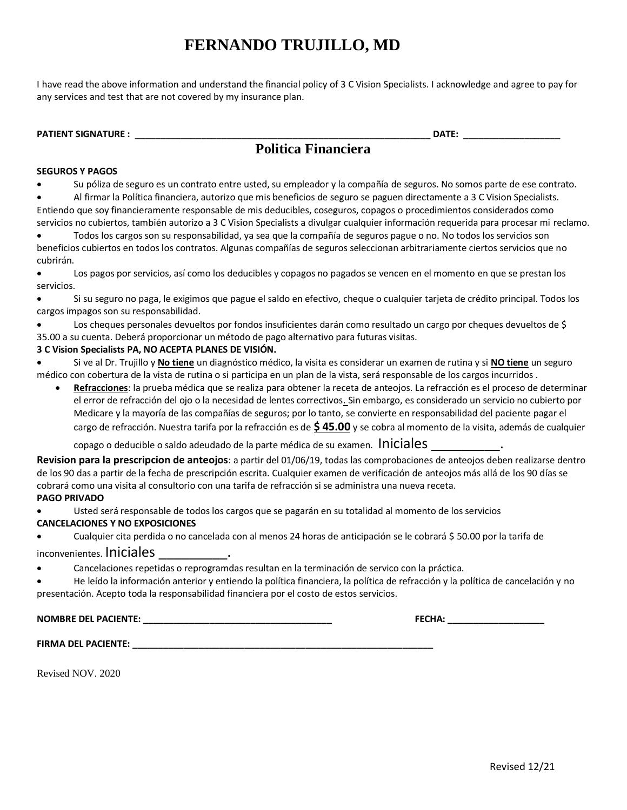I have read the above information and understand the financial policy of 3 C Vision Specialists. I acknowledge and agree to pay for any services and test that are not covered by my insurance plan.

| <b>PATIENT SIGNATURE:</b> |                            | DATE: |  |
|---------------------------|----------------------------|-------|--|
|                           | <b>Politica Financiera</b> |       |  |

#### **SEGUROS Y PAGOS**

Su póliza de seguro es un contrato entre usted, su empleador y la compañía de seguros. No somos parte de ese contrato.

 Al firmar la Política financiera, autorizo que mis beneficios de seguro se paguen directamente a 3 C Vision Specialists. Entiendo que soy financieramente responsable de mis deducibles, coseguros, copagos o procedimientos considerados como servicios no cubiertos, también autorizo a 3 C Vision Specialists a divulgar cualquier información requerida para procesar mi reclamo.

 Todos los cargos son su responsabilidad, ya sea que la compañía de seguros pague o no. No todos los servicios son beneficios cubiertos en todos los contratos. Algunas compañías de seguros seleccionan arbitrariamente ciertos servicios que no cubrirán.

 Los pagos por servicios, así como los deducibles y copagos no pagados se vencen en el momento en que se prestan los servicios.

 Si su seguro no paga, le exigimos que pague el saldo en efectivo, cheque o cualquier tarjeta de crédito principal. Todos los cargos impagos son su responsabilidad.

 Los cheques personales devueltos por fondos insuficientes darán como resultado un cargo por cheques devueltos de \$ 35.00 a su cuenta. Deberá proporcionar un método de pago alternativo para futuras visitas.

#### **3 C Vision Specialists PA, NO ACEPTA PLANES DE VISIÓN.**

 Si ve al Dr. Trujillo y **No tiene** un diagnóstico médico, la visita es considerar un examen de rutina y si **NO tiene** un seguro médico con cobertura de la vista de rutina o si participa en un plan de la vista, será responsable de los cargos incurridos .

 **Refracciones**: la prueba médica que se realiza para obtener la receta de anteojos. La refracción es el proceso de determinar el error de refracción del ojo o la necesidad de lentes correctivos. Sin embargo, es considerado un servicio no cubierto por Medicare y la mayoría de las compañías de seguros; por lo tanto, se convierte en responsabilidad del paciente pagar el cargo de refracción. Nuestra tarifa por la refracción es de **\$ 45.00** y se cobra al momento de la visita, además de cualquier

copago o deducible o saldo adeudado de la parte médica de su examen. Iniciales

**Revision para la prescripcion de anteojos**: a partir del 01/06/19, todas las comprobaciones de anteojos deben realizarse dentro de los 90 das a partir de la fecha de prescripción escrita. Cualquier examen de verificación de anteojos más allá de los 90 días se cobrará como una visita al consultorio con una tarifa de refracción si se administra una nueva receta.

#### **PAGO PRIVADO**

Usted será responsable de todos los cargos que se pagarán en su totalidad al momento de los servicios

#### **CANCELACIONES Y NO EXPOSICIONES**

Cualquier cita perdida o no cancelada con al menos 24 horas de anticipación se le cobrará \$ 50.00 por la tarifa de

#### inconvenientes. Iniciales

Cancelaciones repetidas o reprogramdas resultan en la terminación de servico con la práctica.

 He leído la información anterior y entiendo la política financiera, la política de refracción y la política de cancelación y no presentación. Acepto toda la responsabilidad financiera por el costo de estos servicios.

**NOMBRE DEL PACIENTE: \_\_\_\_\_\_\_\_\_\_\_\_\_\_\_\_\_\_\_\_\_\_\_\_\_\_\_\_\_\_\_\_\_\_\_\_\_ FECHA: \_\_\_\_\_\_\_\_\_\_\_\_\_\_\_\_\_\_\_**

**FIRMA DEL PACIENTE: \_\_\_\_\_\_\_\_\_\_\_\_\_\_\_\_\_\_\_\_\_\_\_\_\_\_\_\_\_\_\_\_\_\_\_\_\_\_\_\_\_\_\_\_\_\_\_\_\_\_\_\_\_\_\_\_\_\_\_**

Revised NOV. 2020